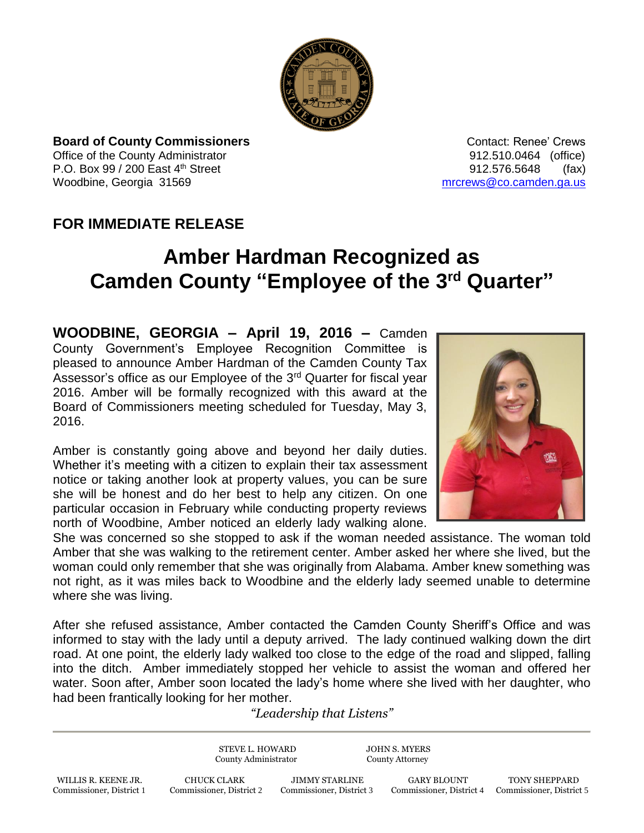

**Board of County Commissioners Contact: Renee' Crews Contact: Renee' Crews** Office of the County Administrator **Connect Administrator 12.510.0464** (office) P.O. Box 99 / 200 East 4<sup>th</sup> Street 912.576.5648 (fax) Woodbine, Georgia 31569 [mrcrews@co.camden.ga.us](mailto:mrcrews@co.camden.ga.us)

## **FOR IMMEDIATE RELEASE**

## **Amber Hardman Recognized as Camden County "Employee of the 3rd Quarter"**

**WOODBINE, GEORGIA – April 19, 2016 –** Camden County Government's Employee Recognition Committee is pleased to announce Amber Hardman of the Camden County Tax Assessor's office as our Employee of the 3<sup>rd</sup> Quarter for fiscal year 2016. Amber will be formally recognized with this award at the Board of Commissioners meeting scheduled for Tuesday, May 3, 2016.

Amber is constantly going above and beyond her daily duties. Whether it's meeting with a citizen to explain their tax assessment notice or taking another look at property values, you can be sure she will be honest and do her best to help any citizen. On one particular occasion in February while conducting property reviews north of Woodbine, Amber noticed an elderly lady walking alone.



She was concerned so she stopped to ask if the woman needed assistance. The woman told Amber that she was walking to the retirement center. Amber asked her where she lived, but the woman could only remember that she was originally from Alabama. Amber knew something was not right, as it was miles back to Woodbine and the elderly lady seemed unable to determine where she was living.

After she refused assistance, Amber contacted the Camden County Sheriff's Office and was informed to stay with the lady until a deputy arrived. The lady continued walking down the dirt road. At one point, the elderly lady walked too close to the edge of the road and slipped, falling into the ditch. Amber immediately stopped her vehicle to assist the woman and offered her water. Soon after, Amber soon located the lady's home where she lived with her daughter, who had been frantically looking for her mother.

## *"Leadership that Listens"*

STEVE L. HOWARD JOHN S. MYERS County Administrator County Attorney

 WILLIS R. KEENE JR. CHUCK CLARK JIMMY STARLINE GARY BLOUNT TONY SHEPPARD Commissioner, District 1 Commissioner, District 2 Commissioner, District 3 Commissioner, District 4 Commissioner, District 5